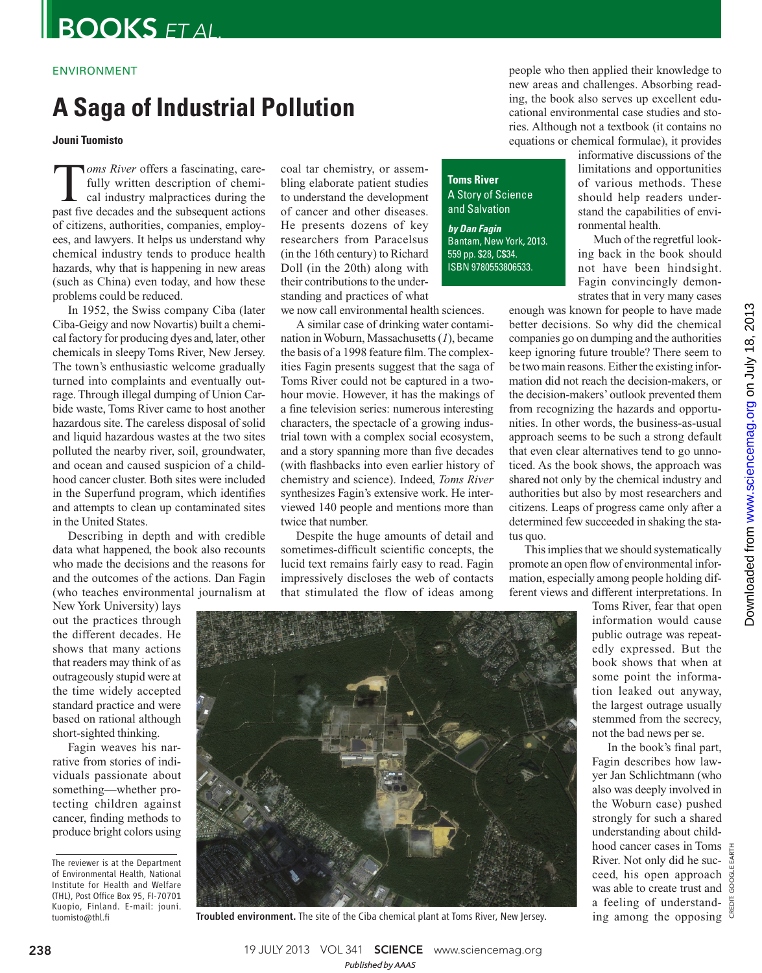### ENVIRONMENT

# **A Saga of Industrial Pollution**

**Jouni Tuomisto** 

**T** *oms River* offers a fascinating, care-<br>fully written description of chemi-<br>cal industry malpractices during the<br>nast five decades and the subsequent actions fully written description of chemical industry malpractices during the past five decades and the subsequent actions of citizens, authorities, companies, employees, and lawyers. It helps us understand why chemical industry tends to produce health hazards, why that is happening in new areas (such as China) even today, and how these problems could be reduced.

In 1952, the Swiss company Ciba (later Ciba-Geigy and now Novartis) built a chemical factory for producing dyes and, later, other chemicals in sleepy Toms River, New Jersey. The town's enthusiastic welcome gradually turned into complaints and eventually outrage. Through illegal dumping of Union Carbide waste, Toms River came to host another hazardous site. The careless disposal of solid and liquid hazardous wastes at the two sites polluted the nearby river, soil, groundwater, and ocean and caused suspicion of a childhood cancer cluster. Both sites were included in the Superfund program, which identifies and attempts to clean up contaminated sites in the United States.

Describing in depth and with credible data what happened, the book also recounts who made the decisions and the reasons for and the outcomes of the actions. Dan Fagin (who teaches environmental journalism at

New York University) lays out the practices through the different decades. He shows that many actions that readers may think of as outrageously stupid were at the time widely accepted standard practice and were based on rational although short-sighted thinking.

Fagin weaves his narrative from stories of individuals passionate about something—whether protecting children against cancer, finding methods to produce bright colors using

coal tar chemistry, or assembling elaborate patient studies to understand the development of cancer and other diseases. He presents dozens of key researchers from Paracelsus (in the 16th century) to Richard Doll (in the 20th) along with their contributions to the understanding and practices of what

we now call environmental health sciences.

A similar case of drinking water contamination in Woburn, Massachusetts (1), became the basis of a 1998 feature film. The complexities Fagin presents suggest that the saga of Toms River could not be captured in a twohour movie. However, it has the makings of a fine television series: numerous interesting characters, the spectacle of a growing industrial town with a complex social ecosystem, and a story spanning more than five decades (with flashbacks into even earlier history of chemistry and science). Indeed, *Toms River* synthesizes Fagin's extensive work. He interviewed 140 people and mentions more than twice that number.

Despite the huge amounts of detail and sometimes-difficult scientific concepts, the lucid text remains fairly easy to read. Fagin impressively discloses the web of contacts that stimulated the flow of ideas among people who then applied their knowledge to new areas and challenges. Absorbing reading, the book also serves up excellent educational environmental case studies and stories. Although not a textbook (it contains no equations or chemical formulae), it provides

**Toms River** A Story of Science and Salvation

 **by Dan Fagin** Bantam, New York, 2013. 559 pp. \$28, C\$34. ISBN 9780553806533.

informative discussions of the limitations and opportunities of various methods. These should help readers understand the capabilities of environmental health.

Much of the regretful looking back in the book should not have been hindsight. Fagin convincingly demonstrates that in very many cases

enough was known for people to have made better decisions. So why did the chemical companies go on dumping and the authorities keep ignoring future trouble? There seem to be two main reasons. Either the existing information did not reach the decision-makers, or the decision-makers' outlook prevented them from recognizing the hazards and opportunities. In other words, the business-as-usual approach seems to be such a strong default that even clear alternatives tend to go unnoticed. As the book shows, the approach was shared not only by the chemical industry and authorities but also by most researchers and citizens. Leaps of progress came only after a determined few succeeded in shaking the status quo.

This implies that we should systematically promote an open flow of environmental information, especially among people holding different views and different interpretations. In

> Toms River, fear that open information would cause public outrage was repeatedly expressed. But the book shows that when at some point the information leaked out anyway, the largest outrage usually stemmed from the secrecy, not the bad news per se.

CREDIT: GOOGLE EARTH In the book's final part, Fagin describes how lawyer Jan Schlichtmann (who also was deeply involved in the Woburn case) pushed strongly for such a shared understanding about childhood cancer cases in Toms River. Not only did he succeed, his open approach was able to create trust and a feeling of understanding among the opposing



Troubled environment. The site of the Ciba chemical plant at Toms River, New Jersey.

*Published byAAAS*

The reviewer is at the Department of Environmental Health, National Institute for Health and Welfare (THL), Post Office Box 95, FI-70701 Kuopio, Finland. E-mail: jouni. tuomisto@thl.fi